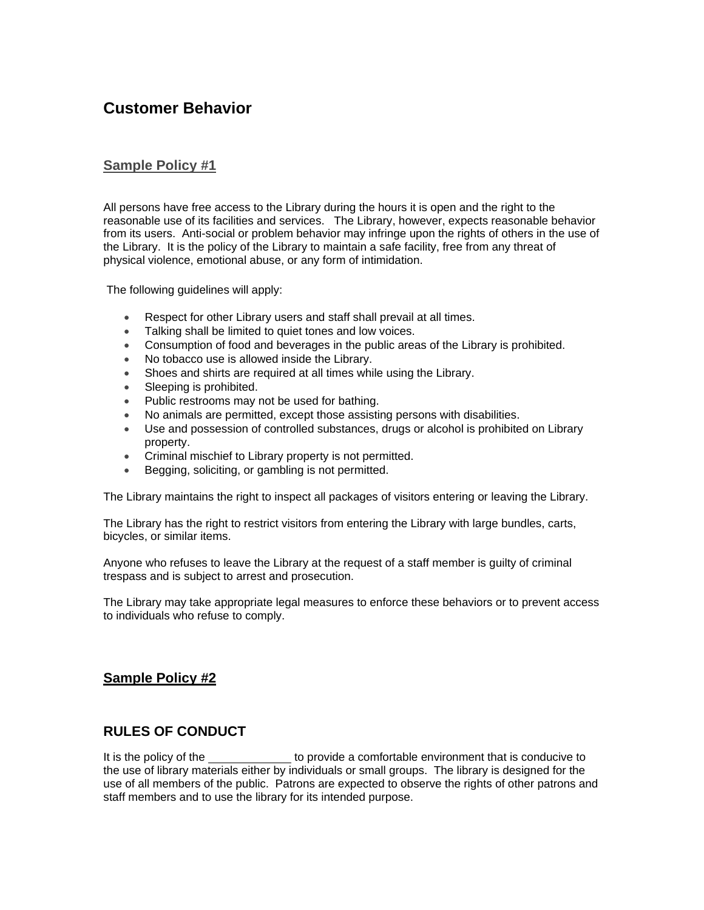## **Customer Behavior**

## **Sample Policy #1**

All persons have free access to the Library during the hours it is open and the right to the reasonable use of its facilities and services. The Library, however, expects reasonable behavior from its users. Anti-social or problem behavior may infringe upon the rights of others in the use of the Library. It is the policy of the Library to maintain a safe facility, free from any threat of physical violence, emotional abuse, or any form of intimidation.

The following guidelines will apply:

- Respect for other Library users and staff shall prevail at all times.
- Talking shall be limited to quiet tones and low voices.
- Consumption of food and beverages in the public areas of the Library is prohibited.
- No tobacco use is allowed inside the Library.
- Shoes and shirts are required at all times while using the Library.
- Sleeping is prohibited.
- Public restrooms may not be used for bathing.
- No animals are permitted, except those assisting persons with disabilities.
- Use and possession of controlled substances, drugs or alcohol is prohibited on Library property.
- Criminal mischief to Library property is not permitted.
- Begging, soliciting, or gambling is not permitted.

The Library maintains the right to inspect all packages of visitors entering or leaving the Library.

The Library has the right to restrict visitors from entering the Library with large bundles, carts, bicycles, or similar items.

Anyone who refuses to leave the Library at the request of a staff member is guilty of criminal trespass and is subject to arrest and prosecution.

The Library may take appropriate legal measures to enforce these behaviors or to prevent access to individuals who refuse to comply.

## **Sample Policy #2**

## **RULES OF CONDUCT**

It is the policy of the to provide a comfortable environment that is conducive to the use of library materials either by individuals or small groups. The library is designed for the use of all members of the public. Patrons are expected to observe the rights of other patrons and staff members and to use the library for its intended purpose.